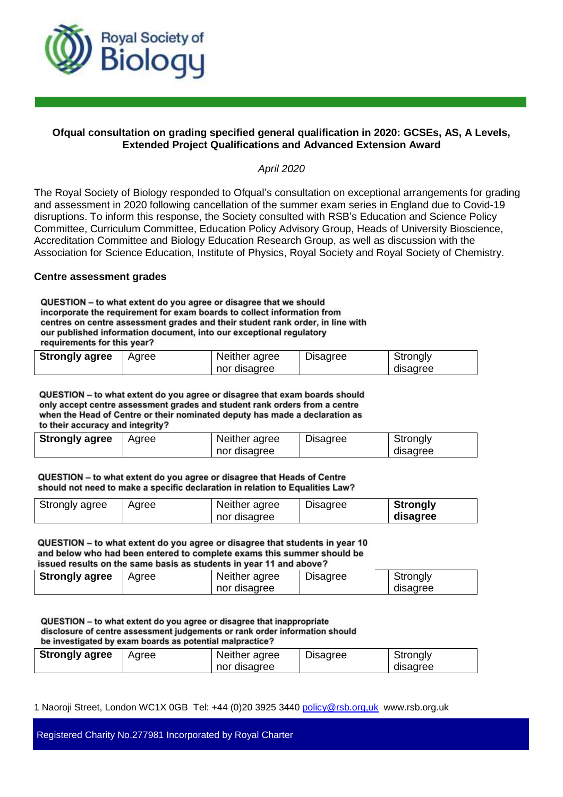

# **Ofqual consultation on grading specified general qualification in 2020: GCSEs, AS, A Levels, Extended Project Qualifications and Advanced Extension Award**

*April 2020*

The Royal Society of Biology responded to Ofqual's consultation on exceptional arrangements for grading and assessment in 2020 following cancellation of the summer exam series in England due to Covid-19 disruptions. To inform this response, the Society consulted with RSB's Education and Science Policy Committee, Curriculum Committee, Education Policy Advisory Group, Heads of University Bioscience, Accreditation Committee and Biology Education Research Group, as well as discussion with the Association for Science Education, Institute of Physics, Royal Society and Royal Society of Chemistry.

## **Centre assessment grades**

QUESTION - to what extent do you agree or disagree that we should incorporate the requirement for exam boards to collect information from centres on centre assessment grades and their student rank order, in line with our published information document, into our exceptional regulatory requirements for this year?

| <b>Strongly agree</b> | Aaree | Neither agree | <b>Disagree</b> | Strongly |
|-----------------------|-------|---------------|-----------------|----------|
|                       |       | nor disagree  |                 | disagree |

QUESTION -- to what extent do you agree or disagree that exam boards should only accept centre assessment grades and student rank orders from a centre when the Head of Centre or their nominated deputy has made a declaration as to their accuracy and integrity?

| <b>Strongly agree</b> | Agree | Neither agree | <b>Disagree</b> | Strongly |  |
|-----------------------|-------|---------------|-----------------|----------|--|
|                       |       | nor disagree  |                 | disagree |  |

QUESTION - to what extent do you agree or disagree that Heads of Centre should not need to make a specific declaration in relation to Equalities Law?

| Strongly agree | Agree | Neither agree | <b>Disagree</b> | <b>Strongly</b> |
|----------------|-------|---------------|-----------------|-----------------|
|                |       | nor disagree  |                 | disagree        |

QUESTION - to what extent do you agree or disagree that students in year 10 and below who had been entered to complete exams this summer should be issued results on the same basis as students in year 11 and above?

| <b>Strongly agree</b> | Agree | Neither agree | Disagree | Strongly |
|-----------------------|-------|---------------|----------|----------|
|                       |       | nor disagree  |          | disagree |

QUESTION - to what extent do you agree or disagree that inappropriate disclosure of centre assessment judgements or rank order information should be investigated by exam boards as potential malpractice?

| <b>Strongly agree</b> | Agree | Neither agree | <b>Disagree</b> | Strongly |
|-----------------------|-------|---------------|-----------------|----------|
|                       |       | nor disagree  |                 | disagree |

1 Naoroji Street, London WC1X 0GB Tel: +44 (0)20 3925 3440 policy@rsb.org,uk www.rsb.org.uk

Registered Charity No.277981 Incorporated by Royal Charter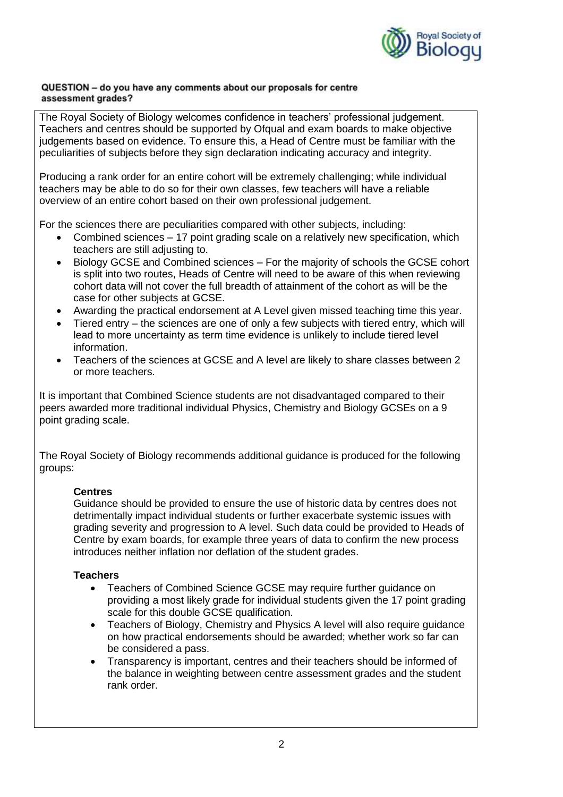

## QUESTION - do you have any comments about our proposals for centre assessment grades?

The Royal Society of Biology welcomes confidence in teachers' professional judgement. Teachers and centres should be supported by Ofqual and exam boards to make objective judgements based on evidence. To ensure this, a Head of Centre must be familiar with the peculiarities of subjects before they sign declaration indicating accuracy and integrity.

Producing a rank order for an entire cohort will be extremely challenging; while individual teachers may be able to do so for their own classes, few teachers will have a reliable overview of an entire cohort based on their own professional judgement.

For the sciences there are peculiarities compared with other subjects, including:

- Combined sciences 17 point grading scale on a relatively new specification, which teachers are still adjusting to.
- Biology GCSE and Combined sciences For the majority of schools the GCSE cohort is split into two routes, Heads of Centre will need to be aware of this when reviewing cohort data will not cover the full breadth of attainment of the cohort as will be the case for other subjects at GCSE.
- Awarding the practical endorsement at A Level given missed teaching time this year.
- Tiered entry the sciences are one of only a few subjects with tiered entry, which will lead to more uncertainty as term time evidence is unlikely to include tiered level information.
- Teachers of the sciences at GCSE and A level are likely to share classes between 2 or more teachers.

It is important that Combined Science students are not disadvantaged compared to their peers awarded more traditional individual Physics, Chemistry and Biology GCSEs on a 9 point grading scale.

The Royal Society of Biology recommends additional guidance is produced for the following groups:

# **Centres**

Guidance should be provided to ensure the use of historic data by centres does not detrimentally impact individual students or further exacerbate systemic issues with grading severity and progression to A level. Such data could be provided to Heads of Centre by exam boards, for example three years of data to confirm the new process introduces neither inflation nor deflation of the student grades.

# **Teachers**

- Teachers of Combined Science GCSE may require further guidance on providing a most likely grade for individual students given the 17 point grading scale for this double GCSE qualification.
- Teachers of Biology, Chemistry and Physics A level will also require guidance on how practical endorsements should be awarded; whether work so far can be considered a pass.
- Transparency is important, centres and their teachers should be informed of the balance in weighting between centre assessment grades and the student rank order.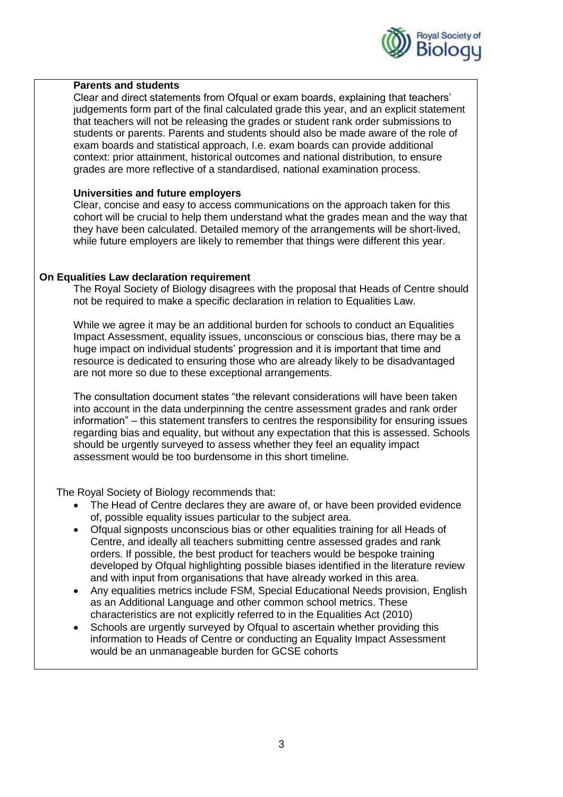

## **Parents and students**

Clear and direct statements from Ofqual or exam boards, explaining that teachers' judgements form part of the final calculated grade this year, and an explicit statement that teachers will not be releasing the grades or student rank order submissions to students or parents. Parents and students should also be made aware of the role of exam boards and statistical approach, I.e. exam boards can provide additional context: prior attainment, historical outcomes and national distribution, to ensure grades are more reflective of a standardised, national examination process.

## **Universities and future employers**

Clear, concise and easy to access communications on the approach taken for this cohort will be crucial to help them understand what the grades mean and the way that they have been calculated. Detailed memory of the arrangements will be short-lived, while future employers are likely to remember that things were different this year.

# **On Equalities Law declaration requirement**

The Royal Society of Biology disagrees with the proposal that Heads of Centre should not be required to make a specific declaration in relation to Equalities Law.

While we agree it may be an additional burden for schools to conduct an Equalities Impact Assessment, equality issues, unconscious or conscious bias, there may be a huge impact on individual students' progression and it is important that time and resource is dedicated to ensuring those who are already likely to be disadvantaged are not more so due to these exceptional arrangements.

The consultation document states "the relevant considerations will have been taken into account in the data underpinning the centre assessment grades and rank order information" – this statement transfers to centres the responsibility for ensuring issues regarding bias and equality, but without any expectation that this is assessed. Schools should be urgently surveyed to assess whether they feel an equality impact assessment would be too burdensome in this short timeline.

The Royal Society of Biology recommends that:

- The Head of Centre declares they are aware of, or have been provided evidence of, possible equality issues particular to the subject area.
- Ofqual signposts unconscious bias or other equalities training for all Heads of Centre, and ideally all teachers submitting centre assessed grades and rank orders. If possible, the best product for teachers would be bespoke training developed by Ofqual highlighting possible biases identified in the literature review and with input from organisations that have already worked in this area.
- Any equalities metrics include FSM, Special Educational Needs provision, English as an Additional Language and other common school metrics. These characteristics are not explicitly referred to in the Equalities Act (2010)
- Schools are urgently surveyed by Ofqual to ascertain whether providing this information to Heads of Centre or conducting an Equality Impact Assessment would be an unmanageable burden for GCSE cohorts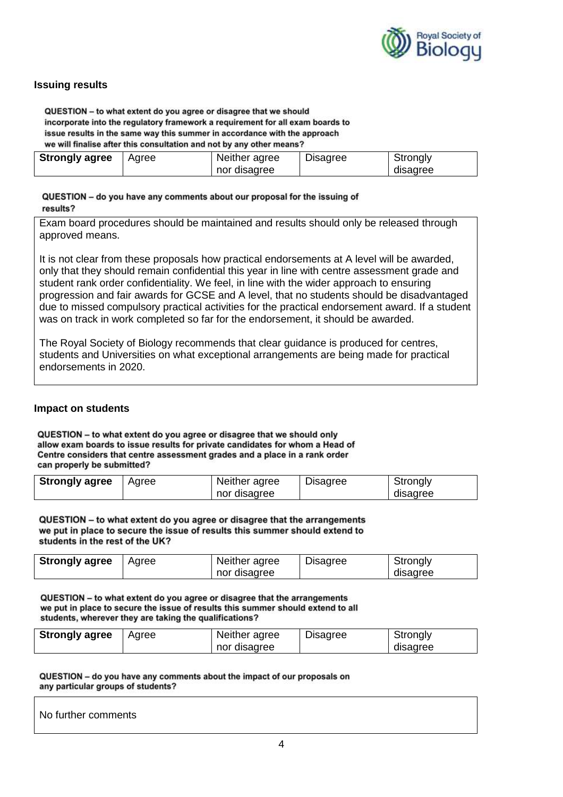

# **Issuing results**

QUESTION - to what extent do you agree or disagree that we should incorporate into the regulatory framework a requirement for all exam boards to issue results in the same way this summer in accordance with the approach we will finalise after this consultation and not by any other means?

| <b>Strongly agree</b> | Agree | Neither agree | <b>Disagree</b> | Strongly |
|-----------------------|-------|---------------|-----------------|----------|
|                       |       | nor disagree  |                 | disagree |

## QUESTION - do you have any comments about our proposal for the issuing of results?

Exam board procedures should be maintained and results should only be released through approved means.

It is not clear from these proposals how practical endorsements at A level will be awarded, only that they should remain confidential this year in line with centre assessment grade and student rank order confidentiality. We feel, in line with the wider approach to ensuring progression and fair awards for GCSE and A level, that no students should be disadvantaged due to missed compulsory practical activities for the practical endorsement award. If a student was on track in work completed so far for the endorsement, it should be awarded.

The Royal Society of Biology recommends that clear guidance is produced for centres, students and Universities on what exceptional arrangements are being made for practical endorsements in 2020.

## **Impact on students**

QUESTION - to what extent do you agree or disagree that we should only allow exam boards to issue results for private candidates for whom a Head of Centre considers that centre assessment grades and a place in a rank order can properly be submitted?

| <b>Strongly agree</b> | Agree | Neither agree | <b>Disagree</b> | Strongly |
|-----------------------|-------|---------------|-----------------|----------|
|                       |       | nor disagree  |                 | disagree |

QUESTION - to what extent do you agree or disagree that the arrangements we put in place to secure the issue of results this summer should extend to students in the rest of the UK?

| <b>Strongly agree</b> | Agree | Neither agree | <b>Disagree</b> | Strongly |
|-----------------------|-------|---------------|-----------------|----------|
|                       |       | nor disagree  |                 | disagree |

QUESTION - to what extent do you agree or disagree that the arrangements we put in place to secure the issue of results this summer should extend to all students, wherever they are taking the qualifications?

| <b>Strongly agree</b> | Agree | Neither agree | Disagree | Strongly |
|-----------------------|-------|---------------|----------|----------|
|                       |       | nor disagree  |          | disagree |

QUESTION - do you have any comments about the impact of our proposals on any particular groups of students?

No further comments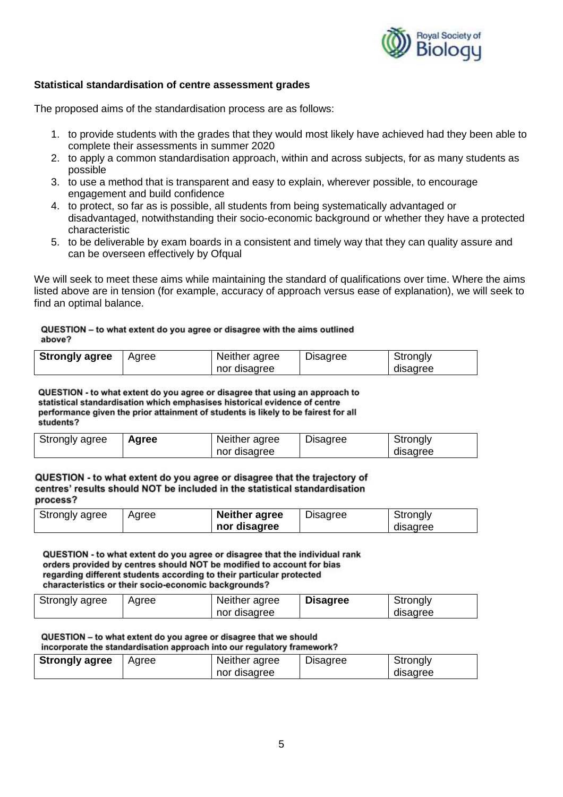

# **Statistical standardisation of centre assessment grades**

The proposed aims of the standardisation process are as follows:

- 1. to provide students with the grades that they would most likely have achieved had they been able to complete their assessments in summer 2020
- 2. to apply a common standardisation approach, within and across subjects, for as many students as possible
- 3. to use a method that is transparent and easy to explain, wherever possible, to encourage engagement and build confidence
- 4. to protect, so far as is possible, all students from being systematically advantaged or disadvantaged, notwithstanding their socio-economic background or whether they have a protected characteristic
- 5. to be deliverable by exam boards in a consistent and timely way that they can quality assure and can be overseen effectively by Ofqual

We will seek to meet these aims while maintaining the standard of qualifications over time. Where the aims listed above are in tension (for example, accuracy of approach versus ease of explanation), we will seek to find an optimal balance.

## QUESTION - to what extent do you agree or disagree with the aims outlined above?

| <b>Strongly agree</b> | Aaree | Neither agree | Disagree | Strongly |
|-----------------------|-------|---------------|----------|----------|
|                       |       | nor disagree  |          | disagree |

QUESTION - to what extent do you agree or disagree that using an approach to statistical standardisation which emphasises historical evidence of centre performance given the prior attainment of students is likely to be fairest for all students?

| Strongly agree | Agree | Neither agree | <b>Disagree</b> | Strongly |
|----------------|-------|---------------|-----------------|----------|
|                |       | nor disagree  |                 | disagree |

## QUESTION - to what extent do you agree or disagree that the trajectory of centres' results should NOT be included in the statistical standardisation process?

| Strongly agree | Agree | <b>Neither agree</b> | <b>Disagree</b> | Strongly |
|----------------|-------|----------------------|-----------------|----------|
|                |       | nor disagree         |                 | disagree |

QUESTION - to what extent do you agree or disagree that the individual rank orders provided by centres should NOT be modified to account for bias regarding different students according to their particular protected characteristics or their socio-economic backgrounds?

| Strongly agree | Agree | Neither agree<br>nor disagree | <b>Disagree</b> | Strongly<br>disagree |
|----------------|-------|-------------------------------|-----------------|----------------------|
|                |       |                               |                 |                      |

QUESTION - to what extent do you agree or disagree that we should incorporate the standardisation approach into our regulatory framework?

| <b>Strongly agree</b> | Agree | Neither agree | <b>Disagree</b> | Strongly |
|-----------------------|-------|---------------|-----------------|----------|
|                       |       | nor disagree  |                 | disagree |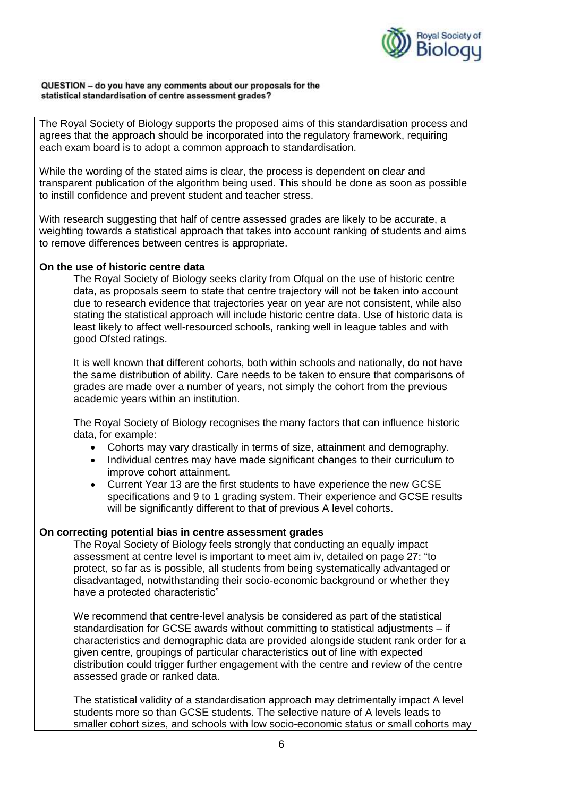

### QUESTION - do you have any comments about our proposals for the statistical standardisation of centre assessment grades?

The Royal Society of Biology supports the proposed aims of this standardisation process and agrees that the approach should be incorporated into the regulatory framework, requiring each exam board is to adopt a common approach to standardisation.

While the wording of the stated aims is clear, the process is dependent on clear and transparent publication of the algorithm being used. This should be done as soon as possible to instill confidence and prevent student and teacher stress.

With research suggesting that half of centre assessed grades are likely to be accurate, a weighting towards a statistical approach that takes into account ranking of students and aims to remove differences between centres is appropriate.

## **On the use of historic centre data**

The Royal Society of Biology seeks clarity from Ofqual on the use of historic centre data, as proposals seem to state that centre trajectory will not be taken into account due to research evidence that trajectories year on year are not consistent, while also stating the statistical approach will include historic centre data. Use of historic data is least likely to affect well-resourced schools, ranking well in league tables and with good Ofsted ratings.

It is well known that different cohorts, both within schools and nationally, do not have the same distribution of ability. Care needs to be taken to ensure that comparisons of grades are made over a number of years, not simply the cohort from the previous academic years within an institution.

The Royal Society of Biology recognises the many factors that can influence historic data, for example:

- Cohorts may vary drastically in terms of size, attainment and demography.
- Individual centres may have made significant changes to their curriculum to improve cohort attainment.
- Current Year 13 are the first students to have experience the new GCSE specifications and 9 to 1 grading system. Their experience and GCSE results will be significantly different to that of previous A level cohorts.

## **On correcting potential bias in centre assessment grades**

The Royal Society of Biology feels strongly that conducting an equally impact assessment at centre level is important to meet aim iv, detailed on page 27: "to protect, so far as is possible, all students from being systematically advantaged or disadvantaged, notwithstanding their socio-economic background or whether they have a protected characteristic"

We recommend that centre-level analysis be considered as part of the statistical standardisation for GCSE awards without committing to statistical adjustments – if characteristics and demographic data are provided alongside student rank order for a given centre, groupings of particular characteristics out of line with expected distribution could trigger further engagement with the centre and review of the centre assessed grade or ranked data.

The statistical validity of a standardisation approach may detrimentally impact A level students more so than GCSE students. The selective nature of A levels leads to smaller cohort sizes, and schools with low socio-economic status or small cohorts may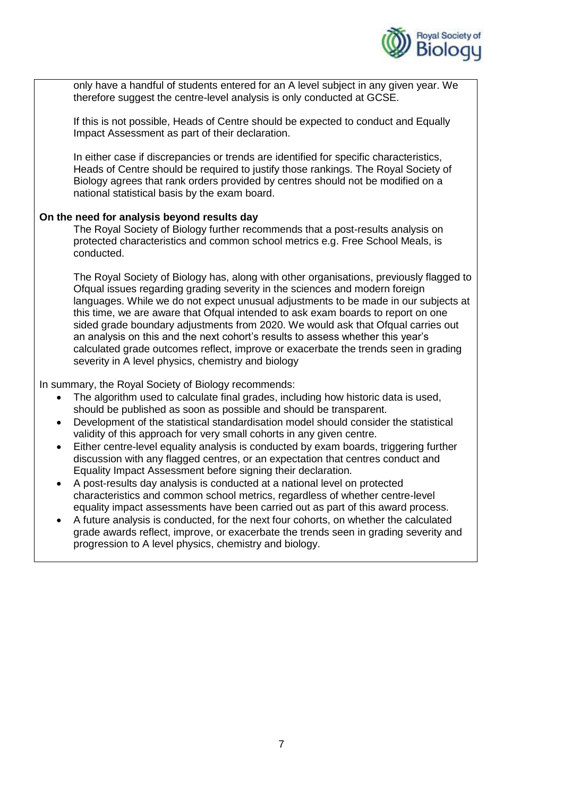

only have a handful of students entered for an A level subject in any given year. We therefore suggest the centre-level analysis is only conducted at GCSE.

If this is not possible, Heads of Centre should be expected to conduct and Equally Impact Assessment as part of their declaration.

In either case if discrepancies or trends are identified for specific characteristics, Heads of Centre should be required to justify those rankings. The Royal Society of Biology agrees that rank orders provided by centres should not be modified on a national statistical basis by the exam board.

## **On the need for analysis beyond results day**

The Royal Society of Biology further recommends that a post-results analysis on protected characteristics and common school metrics e.g. Free School Meals, is conducted.

The Royal Society of Biology has, along with other organisations, previously flagged to Ofqual issues regarding grading severity in the sciences and modern foreign languages. While we do not expect unusual adjustments to be made in our subjects at this time, we are aware that Ofqual intended to ask exam boards to report on one sided grade boundary adjustments from 2020. We would ask that Ofqual carries out an analysis on this and the next cohort's results to assess whether this year's calculated grade outcomes reflect, improve or exacerbate the trends seen in grading severity in A level physics, chemistry and biology

In summary, the Royal Society of Biology recommends:

- The algorithm used to calculate final grades, including how historic data is used, should be published as soon as possible and should be transparent.
- Development of the statistical standardisation model should consider the statistical validity of this approach for very small cohorts in any given centre.
- Either centre-level equality analysis is conducted by exam boards, triggering further discussion with any flagged centres, or an expectation that centres conduct and Equality Impact Assessment before signing their declaration.
- A post-results day analysis is conducted at a national level on protected characteristics and common school metrics, regardless of whether centre-level equality impact assessments have been carried out as part of this award process.
- A future analysis is conducted, for the next four cohorts, on whether the calculated grade awards reflect, improve, or exacerbate the trends seen in grading severity and progression to A level physics, chemistry and biology.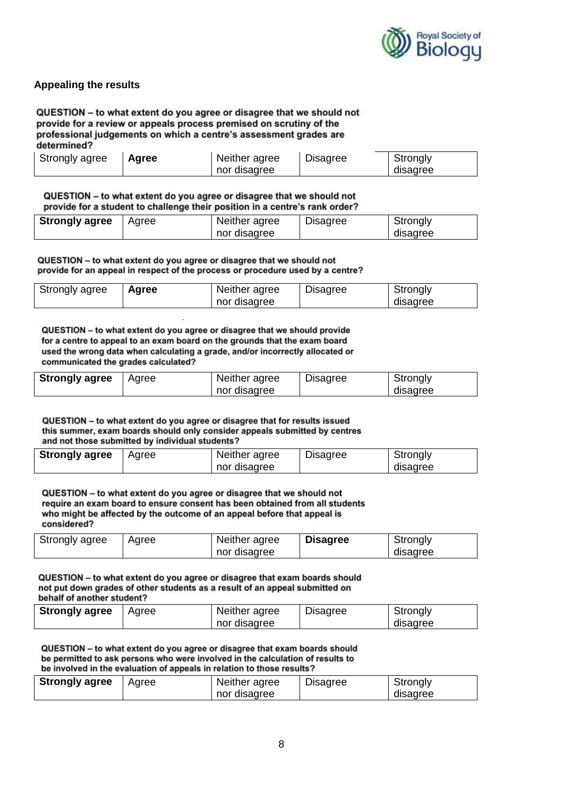

# **Appealing the results**

QUESTION - to what extent do you agree or disagree that we should not provide for a review or appeals process premised on scrutiny of the professional judgements on which a centre's assessment grades are determined?

| Strongly agree | Agree | Neither agree | <b>Disagree</b> | Strongly |
|----------------|-------|---------------|-----------------|----------|
|                |       | nor disagree  |                 | disagree |

QUESTION - to what extent do you agree or disagree that we should not provide for a student to challenge their position in a centre's rank order?

| <b>Strongly agree</b> | Agree | Neither agree | <b>Disagree</b> | Strongly |  |  |
|-----------------------|-------|---------------|-----------------|----------|--|--|
|                       |       | nor disagree  |                 | disagree |  |  |

QUESTION - to what extent do you agree or disagree that we should not provide for an appeal in respect of the process or procedure used by a centre?

| Strongly agree | Agree | Neither agree | <b>Disagree</b> | Strongly |
|----------------|-------|---------------|-----------------|----------|
|                |       | nor disagree  |                 | disagree |

QUESTION - to what extent do you agree or disagree that we should provide for a centre to appeal to an exam board on the grounds that the exam board used the wrong data when calculating a grade, and/or incorrectly allocated or communicated the grades calculated?

| <b>Strongly agree</b> | Agree | Neither agree | <b>Disagree</b> | Strongly |
|-----------------------|-------|---------------|-----------------|----------|
|                       |       | nor disagree  |                 | disagree |

QUESTION - to what extent do you agree or disagree that for results issued this summer, exam boards should only consider appeals submitted by centres and not those submitted by individual students?

| <b>Strongly agree</b> | Agree | Neither agree | <b>Disagree</b> | Strongly |
|-----------------------|-------|---------------|-----------------|----------|
|                       |       | nor disagree  |                 | disagree |

QUESTION - to what extent do you agree or disagree that we should not require an exam board to ensure consent has been obtained from all students who might be affected by the outcome of an appeal before that appeal is considered?

| Strongly agree | Agree | Neither agree | <b>Disagree</b> | Strongly |
|----------------|-------|---------------|-----------------|----------|
|                |       | nor disagree  |                 | disagree |

QUESTION - to what extent do you agree or disagree that exam boards should not put down grades of other students as a result of an appeal submitted on behalf of another student?

| <b>Strongly agree</b> | Agree | Neither agree | <b>Disagree</b> | Strongly |
|-----------------------|-------|---------------|-----------------|----------|
|                       |       | nor disagree  |                 | disagree |

QUESTION - to what extent do you agree or disagree that exam boards should be permitted to ask persons who were involved in the calculation of results to be involved in the evaluation of appeals in relation to those results?

| <b>Strongly agree</b> | Agree | Neither agree | <b>Disagree</b> | Strongly |
|-----------------------|-------|---------------|-----------------|----------|
|                       |       | nor disagree  |                 | disagree |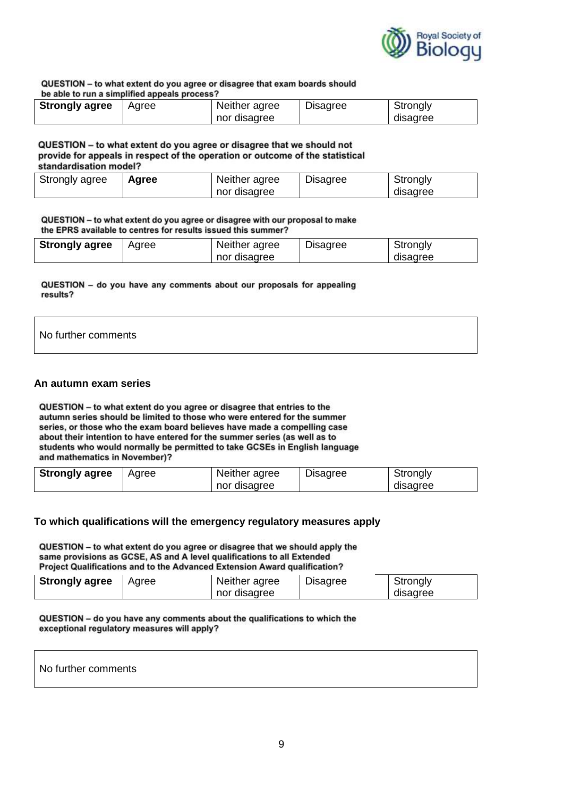

#### QUESTION - to what extent do you agree or disagree that exam boards should he able to run a cimplified appeals process?

| be able to full a simplified appears process? |       |               |                 |          |  |  |
|-----------------------------------------------|-------|---------------|-----------------|----------|--|--|
| <b>Strongly agree</b>                         | Aaree | Neither agree | <b>Disagree</b> | Strongly |  |  |
|                                               |       | nor disagree  |                 | disagree |  |  |

### QUESTION - to what extent do you agree or disagree that we should not provide for appeals in respect of the operation or outcome of the statistical standardisation model?

| Strongly agree | Agree | Neither agree | <b>Disagree</b> | Strongly |
|----------------|-------|---------------|-----------------|----------|
|                |       | nor disagree  |                 | disagree |

QUESTION - to what extent do you agree or disagree with our proposal to make the EPRS available to centres for results issued this summer?

| <b>Strongly agree</b> | Agree | Neither agree | <b>Disagree</b> | Strongly |
|-----------------------|-------|---------------|-----------------|----------|
|                       |       | nor disagree  |                 | disagree |

QUESTION - do you have any comments about our proposals for appealing results?

# No further comments

### **An autumn exam series**

QUESTION - to what extent do you agree or disagree that entries to the autumn series should be limited to those who were entered for the summer series, or those who the exam board believes have made a compelling case about their intention to have entered for the summer series (as well as to students who would normally be permitted to take GCSEs in English language and mathematics in November)?

| <b>Strongly agree</b> | Agree | Neither agree | <b>Disagree</b> | Strongly |
|-----------------------|-------|---------------|-----------------|----------|
|                       |       | nor disagree  |                 | disagree |

## **To which qualifications will the emergency regulatory measures apply**

QUESTION - to what extent do you agree or disagree that we should apply the same provisions as GCSE, AS and A level qualifications to all Extended Project Qualifications and to the Advanced Extension Award qualification?

| <b>Strongly agree</b> | Agree | Neither agree | <b>Disagree</b> | Strongly |
|-----------------------|-------|---------------|-----------------|----------|
|                       |       | nor disagree  |                 | disagree |

QUESTION - do you have any comments about the qualifications to which the exceptional regulatory measures will apply?

## No further comments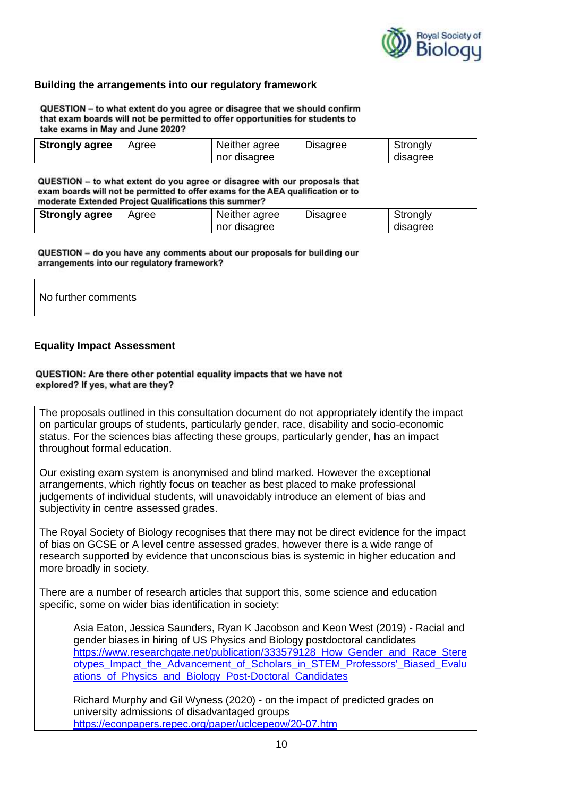

## **Building the arrangements into our regulatory framework**

QUESTION - to what extent do you agree or disagree that we should confirm that exam boards will not be permitted to offer opportunities for students to take exams in May and June 2020?

| <b>Strongly agree</b> | Agree | Neither agree | <b>Disagree</b> | Strongly |
|-----------------------|-------|---------------|-----------------|----------|
|                       |       | nor disagree  |                 | disagree |

QUESTION - to what extent do you agree or disagree with our proposals that exam boards will not be permitted to offer exams for the AEA qualification or to moderate Extended Project Qualifications this summer?

| <b>Strongly agree</b> | Agree | Neither agree | <b>Disagree</b> | Strongly |
|-----------------------|-------|---------------|-----------------|----------|
|                       |       | nor disagree  |                 | disagree |

QUESTION - do you have any comments about our proposals for building our arrangements into our regulatory framework?

| No further comments |  |  |
|---------------------|--|--|
|                     |  |  |

## **Equality Impact Assessment**

## QUESTION: Are there other potential equality impacts that we have not explored? If yes, what are they?

The proposals outlined in this consultation document do not appropriately identify the impact on particular groups of students, particularly gender, race, disability and socio-economic status. For the sciences bias affecting these groups, particularly gender, has an impact throughout formal education.

Our existing exam system is anonymised and blind marked. However the exceptional arrangements, which rightly focus on teacher as best placed to make professional judgements of individual students, will unavoidably introduce an element of bias and subjectivity in centre assessed grades.

The Royal Society of Biology recognises that there may not be direct evidence for the impact of bias on GCSE or A level centre assessed grades, however there is a wide range of research supported by evidence that unconscious bias is systemic in higher education and more broadly in society.

There are a number of research articles that support this, some science and education specific, some on wider bias identification in society:

Asia Eaton, Jessica Saunders, Ryan K Jacobson and Keon West (2019) - Racial and gender biases in hiring of US Physics and Biology postdoctoral candidates https://www.researchgate.net/publication/333579128 How Gender and Race Stere [otypes\\_Impact\\_the\\_Advancement\\_of\\_Scholars\\_in\\_STEM\\_Professors'\\_Biased\\_Evalu](https://www.researchgate.net/publication/333579128_How_Gender_and_Race_Stereotypes_Impact_the_Advancement_of_Scholars_in_STEM_Professors) [ations\\_of\\_Physics\\_and\\_Biology\\_Post-Doctoral\\_Candidates](https://www.researchgate.net/publication/333579128_How_Gender_and_Race_Stereotypes_Impact_the_Advancement_of_Scholars_in_STEM_Professors)

Richard Murphy and Gil Wyness (2020) - on the impact of predicted grades on university admissions of disadvantaged groups <https://econpapers.repec.org/paper/uclcepeow/20-07.htm>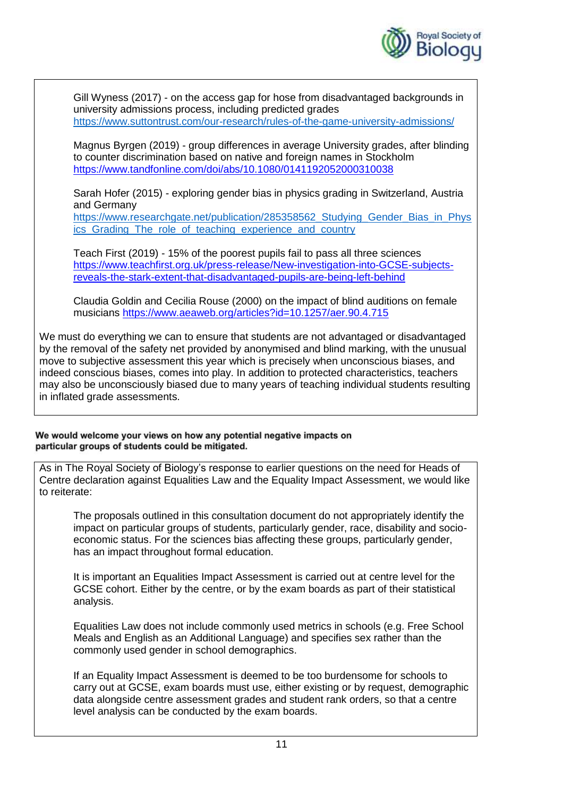

Gill Wyness (2017) - on the access gap for hose from disadvantaged backgrounds in university admissions process, including predicted grades <https://www.suttontrust.com/our-research/rules-of-the-game-university-admissions/>

Magnus Byrgen (2019) - group differences in average University grades, after blinding to counter discrimination based on native and foreign names in Stockholm <https://www.tandfonline.com/doi/abs/10.1080/0141192052000310038>

Sarah Hofer (2015) - exploring gender bias in physics grading in Switzerland, Austria and Germany

https://www.researchgate.net/publication/285358562 Studying Gender Bias in Phys ics Grading The role of teaching experience and country

Teach First (2019) - 15% of the poorest pupils fail to pass all three sciences [https://www.teachfirst.org.uk/press-release/New-investigation-into-GCSE-subjects](https://www.teachfirst.org.uk/press-release/New-investigation-into-GCSE-subjects-reveals-the-stark-extent-that-disadvantaged-pupils-are-being-left-behind)[reveals-the-stark-extent-that-disadvantaged-pupils-are-being-left-behind](https://www.teachfirst.org.uk/press-release/New-investigation-into-GCSE-subjects-reveals-the-stark-extent-that-disadvantaged-pupils-are-being-left-behind)

Claudia Goldin and Cecilia Rouse (2000) on the impact of blind auditions on female musicians<https://www.aeaweb.org/articles?id=10.1257/aer.90.4.715>

We must do everything we can to ensure that students are not advantaged or disadvantaged by the removal of the safety net provided by anonymised and blind marking, with the unusual move to subjective assessment this year which is precisely when unconscious biases, and indeed conscious biases, comes into play. In addition to protected characteristics, teachers may also be unconsciously biased due to many years of teaching individual students resulting in inflated grade assessments.

## We would welcome your views on how any potential negative impacts on particular groups of students could be mitigated.

As in The Royal Society of Biology's response to earlier questions on the need for Heads of Centre declaration against Equalities Law and the Equality Impact Assessment, we would like to reiterate:

The proposals outlined in this consultation document do not appropriately identify the impact on particular groups of students, particularly gender, race, disability and socioeconomic status. For the sciences bias affecting these groups, particularly gender, has an impact throughout formal education.

It is important an Equalities Impact Assessment is carried out at centre level for the GCSE cohort. Either by the centre, or by the exam boards as part of their statistical analysis.

Equalities Law does not include commonly used metrics in schools (e.g. Free School Meals and English as an Additional Language) and specifies sex rather than the commonly used gender in school demographics.

If an Equality Impact Assessment is deemed to be too burdensome for schools to carry out at GCSE, exam boards must use, either existing or by request, demographic data alongside centre assessment grades and student rank orders, so that a centre level analysis can be conducted by the exam boards.